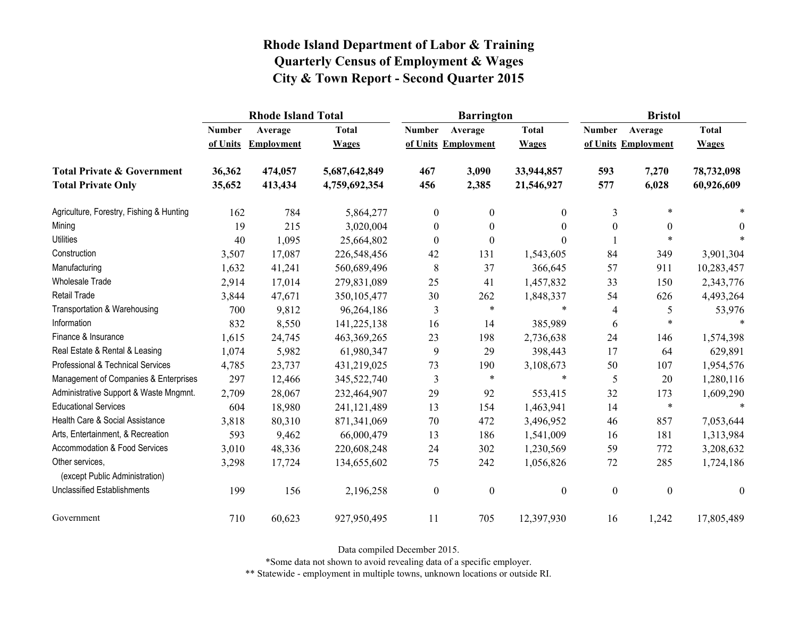|                                                   | <b>Rhode Island Total</b> |                   |               |                  | <b>Barrington</b>   |                | <b>Bristol</b>   |                     |                  |
|---------------------------------------------------|---------------------------|-------------------|---------------|------------------|---------------------|----------------|------------------|---------------------|------------------|
|                                                   | <b>Number</b>             | Average           | <b>Total</b>  | <b>Number</b>    | Average             | <b>Total</b>   | <b>Number</b>    | Average             | <b>Total</b>     |
|                                                   | of Units                  | <b>Employment</b> | <b>Wages</b>  |                  | of Units Employment | <b>Wages</b>   |                  | of Units Employment | <b>Wages</b>     |
| <b>Total Private &amp; Government</b>             | 36,362                    | 474,057           | 5,687,642,849 | 467              | 3,090               | 33,944,857     | 593              | 7,270               | 78,732,098       |
| <b>Total Private Only</b>                         | 35,652                    | 413,434           | 4,759,692,354 | 456              | 2,385               | 21,546,927     | 577              | 6,028               | 60,926,609       |
| Agriculture, Forestry, Fishing & Hunting          | 162                       | 784               | 5,864,277     | $\boldsymbol{0}$ | $\mathbf{0}$        | $\overline{0}$ | $\overline{3}$   | $\ast$              |                  |
| Mining                                            | 19                        | 215               | 3,020,004     | $\boldsymbol{0}$ | $\boldsymbol{0}$    | $\theta$       | $\boldsymbol{0}$ | $\boldsymbol{0}$    | $\theta$         |
| <b>Utilities</b>                                  | 40                        | 1,095             | 25,664,802    | $\boldsymbol{0}$ | $\mathbf{0}$        | $\Omega$       |                  | $\ast$              |                  |
| Construction                                      | 3,507                     | 17,087            | 226,548,456   | 42               | 131                 | 1,543,605      | 84               | 349                 | 3,901,304        |
| Manufacturing                                     | 1,632                     | 41,241            | 560,689,496   | 8                | 37                  | 366,645        | 57               | 911                 | 10,283,457       |
| Wholesale Trade                                   | 2,914                     | 17,014            | 279,831,089   | 25               | 41                  | 1,457,832      | 33               | 150                 | 2,343,776        |
| <b>Retail Trade</b>                               | 3,844                     | 47,671            | 350, 105, 477 | 30               | 262                 | 1,848,337      | 54               | 626                 | 4,493,264        |
| Transportation & Warehousing                      | 700                       | 9,812             | 96,264,186    | 3                | $\ast$              | $\ast$         | 4                | 5                   | 53,976           |
| Information                                       | 832                       | 8,550             | 141,225,138   | 16               | 14                  | 385,989        | 6                | $\ast$              | $\ast$           |
| Finance & Insurance                               | 1,615                     | 24,745            | 463, 369, 265 | 23               | 198                 | 2,736,638      | 24               | 146                 | 1,574,398        |
| Real Estate & Rental & Leasing                    | 1,074                     | 5,982             | 61,980,347    | 9                | 29                  | 398,443        | 17               | 64                  | 629,891          |
| Professional & Technical Services                 | 4,785                     | 23,737            | 431,219,025   | 73               | 190                 | 3,108,673      | 50               | 107                 | 1,954,576        |
| Management of Companies & Enterprises             | 297                       | 12,466            | 345,522,740   | 3                | $\ast$              | $\ast$         | 5                | 20                  | 1,280,116        |
| Administrative Support & Waste Mngmnt.            | 2,709                     | 28,067            | 232,464,907   | 29               | 92                  | 553,415        | 32               | 173                 | 1,609,290        |
| <b>Educational Services</b>                       | 604                       | 18,980            | 241, 121, 489 | 13               | 154                 | 1,463,941      | 14               | $\ast$              | $\ast$           |
| Health Care & Social Assistance                   | 3,818                     | 80,310            | 871,341,069   | 70               | 472                 | 3,496,952      | 46               | 857                 | 7,053,644        |
| Arts, Entertainment, & Recreation                 | 593                       | 9,462             | 66,000,479    | 13               | 186                 | 1,541,009      | 16               | 181                 | 1,313,984        |
| Accommodation & Food Services                     | 3,010                     | 48,336            | 220,608,248   | 24               | 302                 | 1,230,569      | 59               | 772                 | 3,208,632        |
| Other services,<br>(except Public Administration) | 3,298                     | 17,724            | 134,655,602   | 75               | 242                 | 1,056,826      | $72\,$           | 285                 | 1,724,186        |
| <b>Unclassified Establishments</b>                | 199                       | 156               | 2,196,258     | $\boldsymbol{0}$ | $\boldsymbol{0}$    | $\mathbf{0}$   | $\boldsymbol{0}$ | $\boldsymbol{0}$    | $\boldsymbol{0}$ |
| Government                                        | 710                       | 60,623            | 927,950,495   | 11               | 705                 | 12,397,930     | 16               | 1,242               | 17,805,489       |

Data compiled December 2015.

\*Some data not shown to avoid revealing data of a specific employer.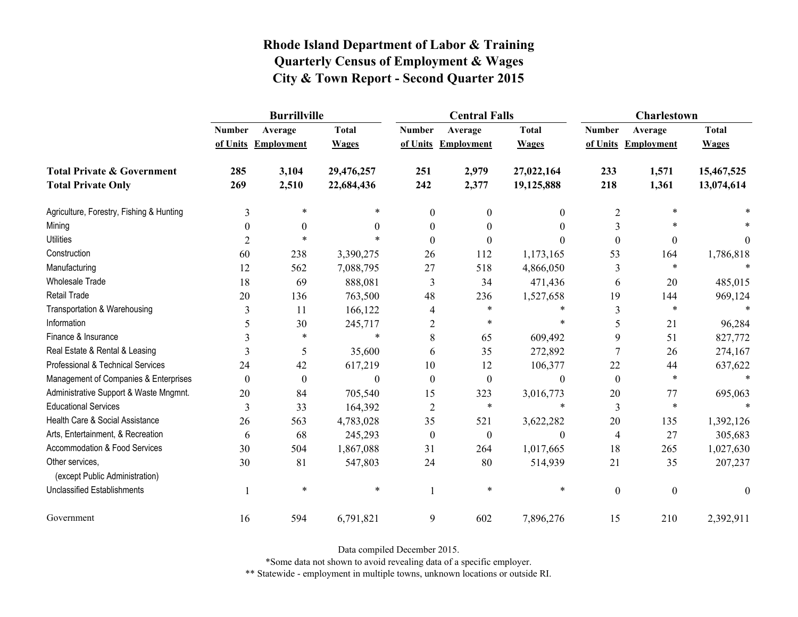|                                                   | <b>Burrillville</b> |                     |              |                  | <b>Central Falls</b> |                  | Charlestown      |                     |              |
|---------------------------------------------------|---------------------|---------------------|--------------|------------------|----------------------|------------------|------------------|---------------------|--------------|
|                                                   | <b>Number</b>       | Average             | <b>Total</b> | <b>Number</b>    | Average              | <b>Total</b>     | <b>Number</b>    | Average             | <b>Total</b> |
|                                                   |                     | of Units Employment | <b>Wages</b> |                  | of Units Employment  | <b>Wages</b>     |                  | of Units Employment | <b>Wages</b> |
| <b>Total Private &amp; Government</b>             | 285                 | 3,104               | 29,476,257   | 251              | 2,979                | 27,022,164       | 233              | 1,571               | 15,467,525   |
| <b>Total Private Only</b>                         | 269                 | 2,510               | 22,684,436   | 242              | 2,377                | 19,125,888       | 218              | 1,361               | 13,074,614   |
| Agriculture, Forestry, Fishing & Hunting          | 3                   | $\ast$              | *            | $\mathbf{0}$     | $\theta$             | $\mathbf{0}$     | $\overline{2}$   | $\ast$              |              |
| Mining                                            | $\theta$            | $\theta$            | $\theta$     | 0                | $\theta$             | $\theta$         | 3                | $\ast$              |              |
| <b>Utilities</b>                                  | 2                   | $\ast$              | $\ast$       | $\Omega$         | $\theta$             | $\theta$         | $\boldsymbol{0}$ | $\boldsymbol{0}$    | $\theta$     |
| Construction                                      | 60                  | 238                 | 3,390,275    | 26               | 112                  | 1,173,165        | 53               | 164                 | 1,786,818    |
| Manufacturing                                     | 12                  | 562                 | 7,088,795    | 27               | 518                  | 4,866,050        | 3                | $\ast$              |              |
| <b>Wholesale Trade</b>                            | 18                  | 69                  | 888,081      | 3                | 34                   | 471,436          | 6                | 20                  | 485,015      |
| <b>Retail Trade</b>                               | 20                  | 136                 | 763,500      | 48               | 236                  | 1,527,658        | 19               | 144                 | 969,124      |
| Transportation & Warehousing                      | 3                   | 11                  | 166,122      | 4                | $\ast$               | $\ast$           | 3                | $\ast$              |              |
| Information                                       | 5                   | 30                  | 245,717      | $\overline{2}$   | $\ast$               | $\ast$           | 5                | 21                  | 96,284       |
| Finance & Insurance                               |                     | $\ast$              | $\ast$       | 8                | 65                   | 609,492          | 9                | 51                  | 827,772      |
| Real Estate & Rental & Leasing                    | 3                   | 5                   | 35,600       | 6                | 35                   | 272,892          | 7                | 26                  | 274,167      |
| Professional & Technical Services                 | 24                  | 42                  | 617,219      | 10               | 12                   | 106,377          | 22               | 44                  | 637,622      |
| Management of Companies & Enterprises             | $\theta$            | $\boldsymbol{0}$    | $\Omega$     | $\theta$         | $\boldsymbol{0}$     | $\theta$         | $\mathbf{0}$     | $\ast$              |              |
| Administrative Support & Waste Mngmnt.            | 20                  | 84                  | 705,540      | 15               | 323                  | 3,016,773        | 20               | 77                  | 695,063      |
| <b>Educational Services</b>                       | 3                   | 33                  | 164,392      | $\overline{2}$   | *                    | $\ast$           | 3                | $\ast$              |              |
| Health Care & Social Assistance                   | 26                  | 563                 | 4,783,028    | 35               | 521                  | 3,622,282        | 20               | 135                 | 1,392,126    |
| Arts, Entertainment, & Recreation                 | 6                   | 68                  | 245,293      | $\boldsymbol{0}$ | $\boldsymbol{0}$     | $\boldsymbol{0}$ | $\overline{4}$   | 27                  | 305,683      |
| Accommodation & Food Services                     | 30                  | 504                 | 1,867,088    | 31               | 264                  | 1,017,665        | 18               | 265                 | 1,027,630    |
| Other services,<br>(except Public Administration) | 30                  | 81                  | 547,803      | 24               | 80                   | 514,939          | 21               | 35                  | 207,237      |
| <b>Unclassified Establishments</b>                | 1                   | $\ast$              | $\ast$       |                  | $\ast$               | $\ast$           | $\boldsymbol{0}$ | $\boldsymbol{0}$    | $\mathbf{0}$ |
| Government                                        | 16                  | 594                 | 6,791,821    | 9                | 602                  | 7,896,276        | 15               | 210                 | 2,392,911    |

Data compiled December 2015.

\*Some data not shown to avoid revealing data of a specific employer.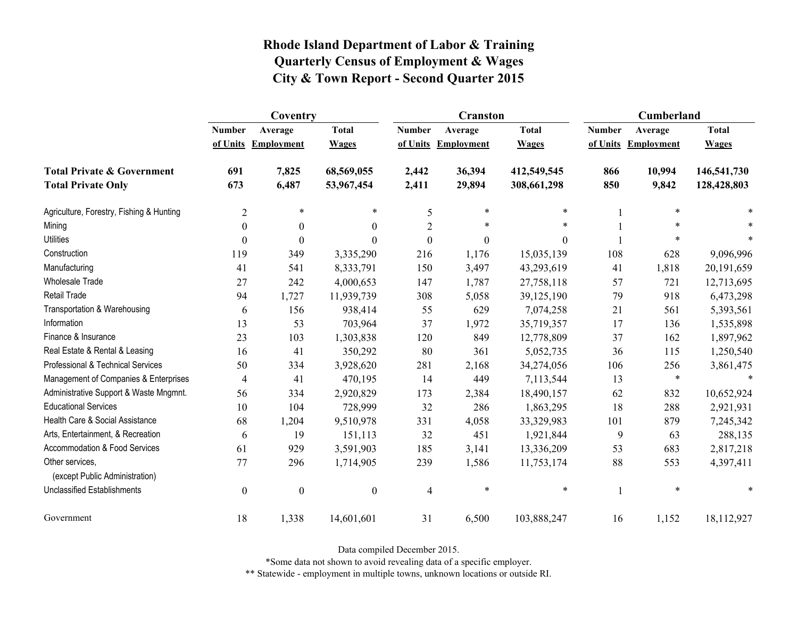|                                                   | Coventry         |                     |                  |                  | <b>Cranston</b>     |              | Cumberland    |                     |              |
|---------------------------------------------------|------------------|---------------------|------------------|------------------|---------------------|--------------|---------------|---------------------|--------------|
|                                                   | <b>Number</b>    | Average             | <b>Total</b>     | <b>Number</b>    | Average             | <b>Total</b> | <b>Number</b> | Average             | <b>Total</b> |
|                                                   |                  | of Units Employment | <b>Wages</b>     |                  | of Units Employment | <b>Wages</b> |               | of Units Employment | <b>Wages</b> |
| <b>Total Private &amp; Government</b>             | 691              | 7,825               | 68,569,055       | 2,442            | 36,394              | 412,549,545  | 866           | 10,994              | 146,541,730  |
| <b>Total Private Only</b>                         | 673              | 6,487               | 53,967,454       | 2,411            | 29,894              | 308,661,298  | 850           | 9,842               | 128,428,803  |
| Agriculture, Forestry, Fishing & Hunting          | $\overline{2}$   | $\ast$              | $\ast$           | 5                | $\ast$              | $\ast$       |               | $\ast$              |              |
| Mining                                            | $\theta$         | $\theta$            | $\theta$         | $\overline{2}$   | *                   | $\ast$       |               |                     |              |
| <b>Utilities</b>                                  | $\overline{0}$   | $\theta$            | $\theta$         | $\boldsymbol{0}$ | $\boldsymbol{0}$    | $\theta$     |               | $\ast$              |              |
| Construction                                      | 119              | 349                 | 3,335,290        | 216              | 1,176               | 15,035,139   | 108           | 628                 | 9,096,996    |
| Manufacturing                                     | 41               | 541                 | 8,333,791        | 150              | 3,497               | 43,293,619   | 41            | 1,818               | 20,191,659   |
| <b>Wholesale Trade</b>                            | 27               | 242                 | 4,000,653        | 147              | 1,787               | 27,758,118   | 57            | 721                 | 12,713,695   |
| Retail Trade                                      | 94               | 1,727               | 11,939,739       | 308              | 5,058               | 39,125,190   | 79            | 918                 | 6,473,298    |
| Transportation & Warehousing                      | 6                | 156                 | 938,414          | 55               | 629                 | 7,074,258    | 21            | 561                 | 5,393,561    |
| Information                                       | 13               | 53                  | 703,964          | 37               | 1,972               | 35,719,357   | 17            | 136                 | 1,535,898    |
| Finance & Insurance                               | 23               | 103                 | 1,303,838        | 120              | 849                 | 12,778,809   | 37            | 162                 | 1,897,962    |
| Real Estate & Rental & Leasing                    | 16               | 41                  | 350,292          | 80               | 361                 | 5,052,735    | 36            | 115                 | 1,250,540    |
| Professional & Technical Services                 | 50               | 334                 | 3,928,620        | 281              | 2,168               | 34,274,056   | 106           | 256                 | 3,861,475    |
| Management of Companies & Enterprises             | 4                | 41                  | 470,195          | 14               | 449                 | 7,113,544    | 13            | $\ast$              | $\ast$       |
| Administrative Support & Waste Mngmnt.            | 56               | 334                 | 2,920,829        | 173              | 2,384               | 18,490,157   | 62            | 832                 | 10,652,924   |
| <b>Educational Services</b>                       | 10               | 104                 | 728,999          | 32               | 286                 | 1,863,295    | 18            | 288                 | 2,921,931    |
| Health Care & Social Assistance                   | 68               | 1,204               | 9,510,978        | 331              | 4,058               | 33,329,983   | 101           | 879                 | 7,245,342    |
| Arts, Entertainment, & Recreation                 | 6                | 19                  | 151,113          | 32               | 451                 | 1,921,844    | 9             | 63                  | 288,135      |
| Accommodation & Food Services                     | 61               | 929                 | 3,591,903        | 185              | 3,141               | 13,336,209   | 53            | 683                 | 2,817,218    |
| Other services.<br>(except Public Administration) | 77               | 296                 | 1,714,905        | 239              | 1,586               | 11,753,174   | 88            | 553                 | 4,397,411    |
| <b>Unclassified Establishments</b>                | $\boldsymbol{0}$ | $\boldsymbol{0}$    | $\boldsymbol{0}$ | $\overline{4}$   | $\ast$              | $\ast$       |               | $\ast$              | *            |
| Government                                        | 18               | 1,338               | 14,601,601       | 31               | 6,500               | 103,888,247  | 16            | 1,152               | 18,112,927   |

Data compiled December 2015.

\*Some data not shown to avoid revealing data of a specific employer.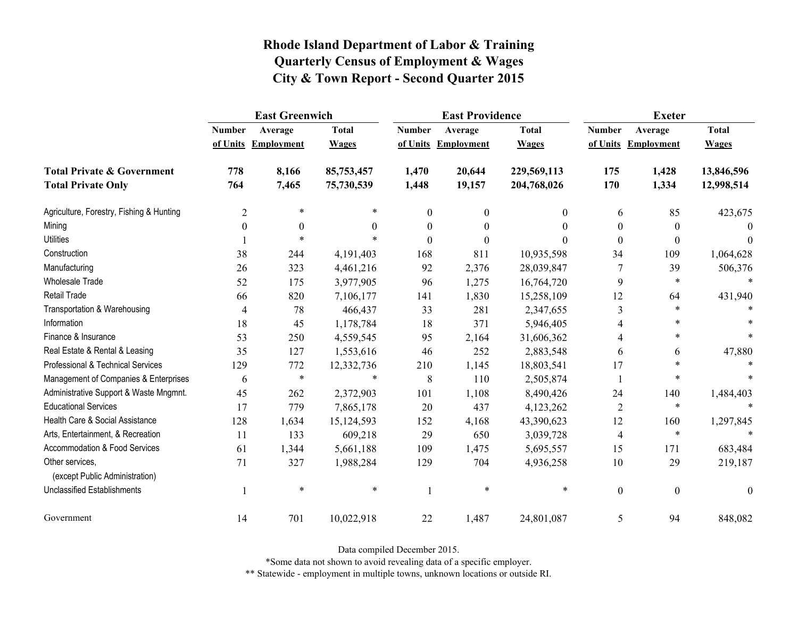|                                                   | <b>East Greenwich</b> |                     |              |                  | <b>East Providence</b> |              | <b>Exeter</b>    |                     |              |
|---------------------------------------------------|-----------------------|---------------------|--------------|------------------|------------------------|--------------|------------------|---------------------|--------------|
|                                                   | <b>Number</b>         | Average             | <b>Total</b> | <b>Number</b>    | Average                | <b>Total</b> | <b>Number</b>    | Average             | <b>Total</b> |
|                                                   |                       | of Units Employment | <b>Wages</b> |                  | of Units Employment    | <b>Wages</b> |                  | of Units Employment | <b>Wages</b> |
| <b>Total Private &amp; Government</b>             | 778                   | 8,166               | 85,753,457   | 1,470            | 20,644                 | 229,569,113  | 175              | 1,428               | 13,846,596   |
| <b>Total Private Only</b>                         | 764                   | 7,465               | 75,730,539   | 1,448            | 19,157                 | 204,768,026  | 170              | 1,334               | 12,998,514   |
| Agriculture, Forestry, Fishing & Hunting          | $\overline{2}$        | $\ast$              |              | $\boldsymbol{0}$ | $\mathbf{0}$           | $\theta$     | 6                | 85                  | 423,675      |
| Mining                                            | $\boldsymbol{0}$      | $\boldsymbol{0}$    | 0            | $\boldsymbol{0}$ | $\theta$               | $\theta$     | $\boldsymbol{0}$ | $\boldsymbol{0}$    | $\Omega$     |
| <b>Utilities</b>                                  |                       | $\ast$              |              | $\theta$         | $\theta$               | 0            | $\mathbf{0}$     | $\mathbf{0}$        | $\Omega$     |
| Construction                                      | 38                    | 244                 | 4,191,403    | 168              | 811                    | 10,935,598   | 34               | 109                 | 1,064,628    |
| Manufacturing                                     | 26                    | 323                 | 4,461,216    | 92               | 2,376                  | 28,039,847   | 7                | 39                  | 506,376      |
| Wholesale Trade                                   | 52                    | 175                 | 3,977,905    | 96               | 1,275                  | 16,764,720   | 9                | $\ast$              |              |
| Retail Trade                                      | 66                    | 820                 | 7,106,177    | 141              | 1,830                  | 15,258,109   | 12               | 64                  | 431,940      |
| Transportation & Warehousing                      | $\overline{4}$        | 78                  | 466,437      | 33               | 281                    | 2,347,655    | 3                | $\ast$              |              |
| Information                                       | 18                    | 45                  | 1,178,784    | 18               | 371                    | 5,946,405    | 4                |                     |              |
| Finance & Insurance                               | 53                    | 250                 | 4,559,545    | 95               | 2,164                  | 31,606,362   |                  | $\ast$              |              |
| Real Estate & Rental & Leasing                    | 35                    | 127                 | 1,553,616    | 46               | 252                    | 2,883,548    | 6                | 6                   | 47,880       |
| Professional & Technical Services                 | 129                   | 772                 | 12,332,736   | 210              | 1,145                  | 18,803,541   | 17               | *                   |              |
| Management of Companies & Enterprises             | 6                     | $\ast$              | $\ast$       | 8                | 110                    | 2,505,874    |                  | $\ast$              |              |
| Administrative Support & Waste Mngmnt.            | 45                    | 262                 | 2,372,903    | 101              | 1,108                  | 8,490,426    | 24               | 140                 | 1,484,403    |
| <b>Educational Services</b>                       | 17                    | 779                 | 7,865,178    | 20               | 437                    | 4,123,262    | $\overline{2}$   | $\ast$              |              |
| Health Care & Social Assistance                   | 128                   | 1,634               | 15,124,593   | 152              | 4,168                  | 43,390,623   | 12               | 160                 | 1,297,845    |
| Arts, Entertainment, & Recreation                 | 11                    | 133                 | 609,218      | 29               | 650                    | 3,039,728    | $\overline{4}$   | $\ast$              | $\ast$       |
| <b>Accommodation &amp; Food Services</b>          | 61                    | 1,344               | 5,661,188    | 109              | 1,475                  | 5,695,557    | 15               | 171                 | 683,484      |
| Other services,<br>(except Public Administration) | 71                    | 327                 | 1,988,284    | 129              | 704                    | 4,936,258    | 10               | 29                  | 219,187      |
| <b>Unclassified Establishments</b>                |                       | $\ast$              | $\ast$       | $\mathbf{1}$     | $\ast$                 | $\ast$       | $\boldsymbol{0}$ | $\boldsymbol{0}$    | $\theta$     |
| Government                                        | 14                    | 701                 | 10,022,918   | 22               | 1,487                  | 24,801,087   | 5                | 94                  | 848,082      |

Data compiled December 2015.

\*Some data not shown to avoid revealing data of a specific employer.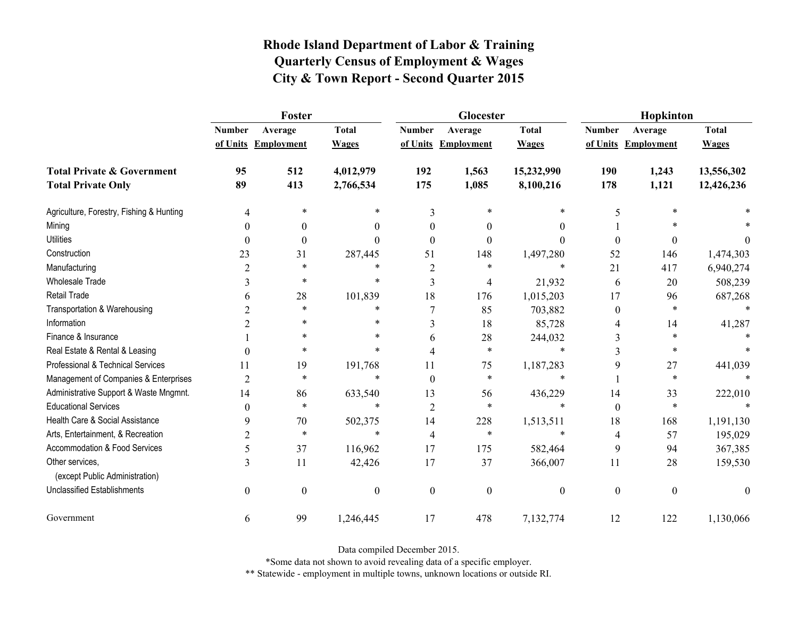|                                                   | Foster           |                     |                  |                          | Glocester           |                  | Hopkinton        |                     |              |
|---------------------------------------------------|------------------|---------------------|------------------|--------------------------|---------------------|------------------|------------------|---------------------|--------------|
|                                                   | <b>Number</b>    | Average             | <b>Total</b>     | <b>Number</b>            | Average             | <b>Total</b>     | <b>Number</b>    | Average             | <b>Total</b> |
|                                                   |                  | of Units Employment | <b>Wages</b>     |                          | of Units Employment | <b>Wages</b>     |                  | of Units Employment | <b>Wages</b> |
| <b>Total Private &amp; Government</b>             | 95               | 512                 | 4,012,979        | 192                      | 1,563               | 15,232,990       | 190              | 1,243               | 13,556,302   |
| <b>Total Private Only</b>                         | 89               | 413                 | 2,766,534        | 175                      | 1,085               | 8,100,216        | 178              | 1,121               | 12,426,236   |
| Agriculture, Forestry, Fishing & Hunting          | 4                | *                   | *                | 3                        |                     | *                | 5                |                     |              |
| Mining                                            | $\theta$         | $\theta$            | $\theta$         | $\theta$                 | $\theta$            | $\theta$         |                  |                     |              |
| <b>Utilities</b>                                  | $\theta$         | $\boldsymbol{0}$    | $\Omega$         | $\Omega$                 | $\theta$            | $\theta$         | $\boldsymbol{0}$ | 0                   | $\theta$     |
| Construction                                      | 23               | 31                  | 287,445          | 51                       | 148                 | 1,497,280        | 52               | 146                 | 1,474,303    |
| Manufacturing                                     | $\overline{2}$   | $\ast$              | $\ast$           | 2                        | $\ast$              | $\ast$           | 21               | 417                 | 6,940,274    |
| <b>Wholesale Trade</b>                            | 3                | $\ast$              | $\ast$           | 3                        | $\overline{4}$      | 21,932           | 6                | 20                  | 508,239      |
| Retail Trade                                      | 6                | 28                  | 101,839          | 18                       | 176                 | 1,015,203        | 17               | 96                  | 687,268      |
| Transportation & Warehousing                      |                  | $\ast$              | *                | 7                        | 85                  | 703,882          | $\boldsymbol{0}$ | $\ast$              |              |
| Information                                       | 2                | *                   | $\ast$           | 3                        | 18                  | 85,728           | 4                | 14                  | 41,287       |
| Finance & Insurance                               |                  | $\ast$              | *                | 6                        | 28                  | 244,032          | 3                | $\ast$              |              |
| Real Estate & Rental & Leasing                    | $\theta$         | *                   | *                | $\overline{\mathcal{A}}$ | *                   | $\ast$           | 3                | *                   |              |
| Professional & Technical Services                 | 11               | 19                  | 191,768          | 11                       | 75                  | 1,187,283        | 9                | 27                  | 441,039      |
| Management of Companies & Enterprises             | $\overline{2}$   | $\ast$              | $\ast$           | $\Omega$                 | *                   | $\ast$           |                  | $\ast$              |              |
| Administrative Support & Waste Mngmnt.            | 14               | 86                  | 633,540          | 13                       | 56                  | 436,229          | 14               | 33                  | 222,010      |
| <b>Educational Services</b>                       | $\theta$         | $\ast$              | $\ast$           | $\overline{2}$           | $\ast$              | $\ast$           | $\boldsymbol{0}$ | $\ast$              |              |
| Health Care & Social Assistance                   | 9                | 70                  | 502,375          | 14                       | 228                 | 1,513,511        | 18               | 168                 | 1,191,130    |
| Arts, Entertainment, & Recreation                 | $\overline{2}$   | $\ast$              | $\ast$           | $\overline{4}$           | $\ast$              | $\ast$           | 4                | 57                  | 195,029      |
| Accommodation & Food Services                     | 5                | 37                  | 116,962          | 17                       | 175                 | 582,464          | 9                | 94                  | 367,385      |
| Other services,<br>(except Public Administration) | 3                | 11                  | 42,426           | 17                       | 37                  | 366,007          | 11               | 28                  | 159,530      |
| <b>Unclassified Establishments</b>                | $\boldsymbol{0}$ | $\boldsymbol{0}$    | $\boldsymbol{0}$ | $\boldsymbol{0}$         | $\mathbf{0}$        | $\boldsymbol{0}$ | $\boldsymbol{0}$ | $\boldsymbol{0}$    | $\mathbf{0}$ |
| Government                                        | 6                | 99                  | 1,246,445        | 17                       | 478                 | 7,132,774        | 12               | 122                 | 1,130,066    |

Data compiled December 2015.

\*Some data not shown to avoid revealing data of a specific employer.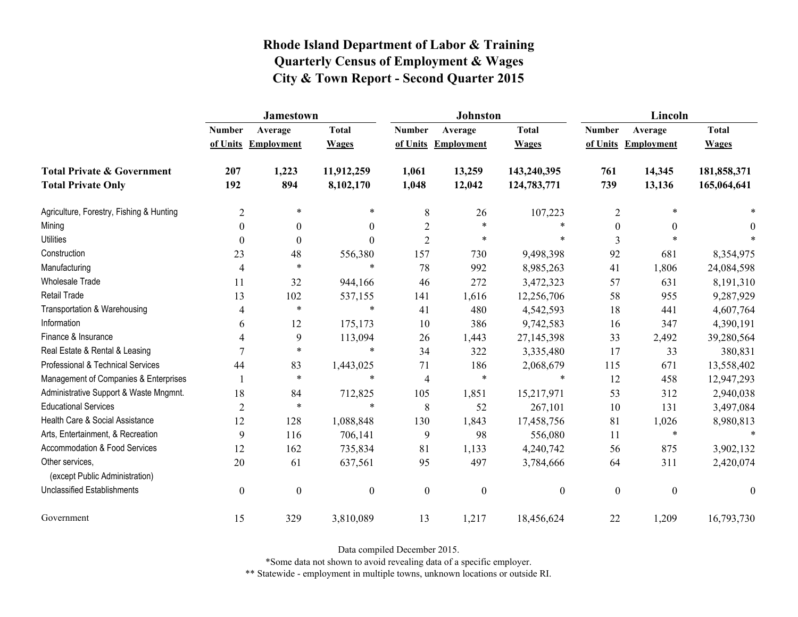|                                                   | Jamestown      |                     |                  |                  | <b>Johnston</b>  |                  | Lincoln          |                     |                  |
|---------------------------------------------------|----------------|---------------------|------------------|------------------|------------------|------------------|------------------|---------------------|------------------|
|                                                   | <b>Number</b>  | Average             | <b>Total</b>     | <b>Number</b>    | Average          | <b>Total</b>     | <b>Number</b>    | Average             | <b>Total</b>     |
|                                                   |                | of Units Employment | <b>Wages</b>     | of Units         | Employment       | <b>Wages</b>     |                  | of Units Employment | <b>Wages</b>     |
| <b>Total Private &amp; Government</b>             | 207            | 1,223               | 11,912,259       | 1,061            | 13,259           | 143,240,395      | 761              | 14,345              | 181,858,371      |
| <b>Total Private Only</b>                         | 192            | 894                 | 8,102,170        | 1,048            | 12,042           | 124,783,771      | 739              | 13,136              | 165,064,641      |
| Agriculture, Forestry, Fishing & Hunting          | $\overline{2}$ | $\ast$              | $\ast$           | $\,8\,$          | 26               | 107,223          | $\overline{2}$   |                     |                  |
| Mining                                            | $\theta$       | $\theta$            | $\overline{0}$   | $\overline{2}$   | $\ast$           |                  | $\theta$         | $\theta$            | 0                |
| <b>Utilities</b>                                  | $\theta$       | $\theta$            | $\theta$         | $\overline{2}$   | $\ast$           | $\ast$           | 3                |                     |                  |
| Construction                                      | 23             | 48                  | 556,380          | 157              | 730              | 9,498,398        | 92               | 681                 | 8,354,975        |
| Manufacturing                                     | 4              | $\ast$              | $\ast$           | 78               | 992              | 8,985,263        | 41               | 1,806               | 24,084,598       |
| <b>Wholesale Trade</b>                            | 11             | 32                  | 944,166          | 46               | 272              | 3,472,323        | 57               | 631                 | 8,191,310        |
| Retail Trade                                      | 13             | 102                 | 537,155          | 141              | 1,616            | 12,256,706       | 58               | 955                 | 9,287,929        |
| Transportation & Warehousing                      | 4              | $\ast$              | $\ast$           | 41               | 480              | 4,542,593        | 18               | 441                 | 4,607,764        |
| Information                                       | 6              | 12                  | 175,173          | 10               | 386              | 9,742,583        | 16               | 347                 | 4,390,191        |
| Finance & Insurance                               | 4              | 9                   | 113,094          | 26               | 1,443            | 27,145,398       | 33               | 2,492               | 39,280,564       |
| Real Estate & Rental & Leasing                    | 7              | $\ast$              | $\ast$           | 34               | 322              | 3,335,480        | 17               | 33                  | 380,831          |
| Professional & Technical Services                 | 44             | 83                  | 1,443,025        | 71               | 186              | 2,068,679        | 115              | 671                 | 13,558,402       |
| Management of Companies & Enterprises             |                | $\ast$              | $\ast$           | $\overline{4}$   | $\ast$           | $\ast$           | 12               | 458                 | 12,947,293       |
| Administrative Support & Waste Mngmnt.            | 18             | 84                  | 712,825          | 105              | 1,851            | 15,217,971       | 53               | 312                 | 2,940,038        |
| <b>Educational Services</b>                       | $\overline{2}$ | $\ast$              | $\ast$           | 8                | 52               | 267,101          | 10               | 131                 | 3,497,084        |
| Health Care & Social Assistance                   | 12             | 128                 | 1,088,848        | 130              | 1,843            | 17,458,756       | 81               | 1,026               | 8,980,813        |
| Arts, Entertainment, & Recreation                 | 9              | 116                 | 706,141          | 9                | 98               | 556,080          | 11               | $\ast$              | $\ast$           |
| Accommodation & Food Services                     | 12             | 162                 | 735,834          | 81               | 1,133            | 4,240,742        | 56               | 875                 | 3,902,132        |
| Other services,<br>(except Public Administration) | 20             | 61                  | 637,561          | 95               | 497              | 3,784,666        | 64               | 311                 | 2,420,074        |
| <b>Unclassified Establishments</b>                | $\mathbf{0}$   | $\boldsymbol{0}$    | $\boldsymbol{0}$ | $\boldsymbol{0}$ | $\boldsymbol{0}$ | $\boldsymbol{0}$ | $\boldsymbol{0}$ | $\mathbf{0}$        | $\boldsymbol{0}$ |
| Government                                        | 15             | 329                 | 3,810,089        | 13               | 1,217            | 18,456,624       | 22               | 1,209               | 16,793,730       |

Data compiled December 2015.

\*Some data not shown to avoid revealing data of a specific employer.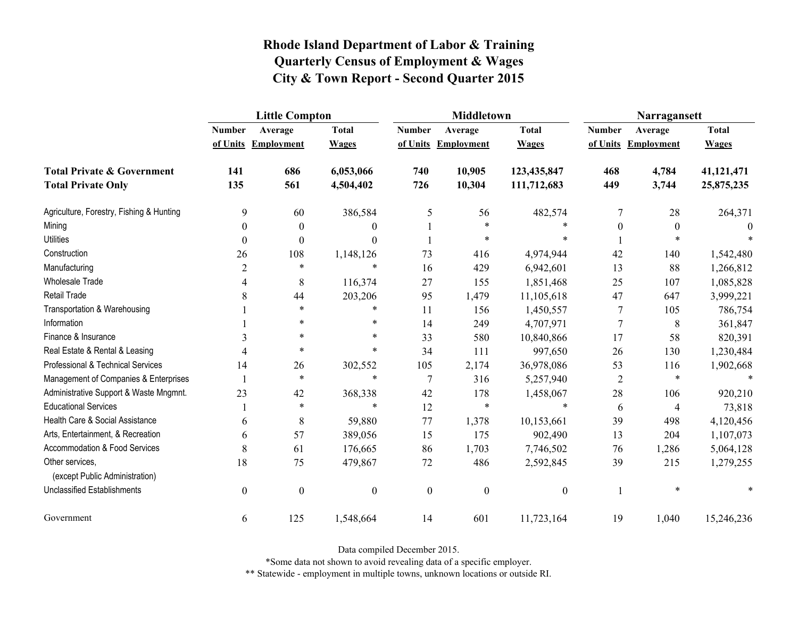|                                                   | <b>Little Compton</b> |                   |                  |                  | <b>Middletown</b>   |                  | Narragansett     |                   |              |
|---------------------------------------------------|-----------------------|-------------------|------------------|------------------|---------------------|------------------|------------------|-------------------|--------------|
|                                                   | <b>Number</b>         | Average           | <b>Total</b>     | <b>Number</b>    | Average             | <b>Total</b>     | <b>Number</b>    | Average           | <b>Total</b> |
|                                                   | of Units              | <b>Employment</b> | <b>Wages</b>     |                  | of Units Employment | <b>Wages</b>     | of Units         | <b>Employment</b> | <b>Wages</b> |
| <b>Total Private &amp; Government</b>             | 141                   | 686               | 6,053,066        | 740              | 10,905              | 123,435,847      | 468              | 4,784             | 41,121,471   |
| <b>Total Private Only</b>                         | 135                   | 561               | 4,504,402        | 726              | 10,304              | 111,712,683      | 449              | 3,744             | 25,875,235   |
| Agriculture, Forestry, Fishing & Hunting          | 9                     | 60                | 386,584          | 5                | 56                  | 482,574          | 7                | 28                | 264,371      |
| Mining                                            | $\boldsymbol{0}$      | $\theta$          | $\theta$         |                  | $\ast$              |                  | $\boldsymbol{0}$ | $\boldsymbol{0}$  | $\theta$     |
| <b>Utilities</b>                                  | $\theta$              | $\theta$          | $\Omega$         |                  | $\ast$              |                  |                  |                   |              |
| Construction                                      | 26                    | 108               | 1,148,126        | 73               | 416                 | 4,974,944        | 42               | 140               | 1,542,480    |
| Manufacturing                                     | $\overline{2}$        | $\ast$            | $\ast$           | 16               | 429                 | 6,942,601        | 13               | 88                | 1,266,812    |
| <b>Wholesale Trade</b>                            | 4                     | 8                 | 116,374          | 27               | 155                 | 1,851,468        | 25               | 107               | 1,085,828    |
| <b>Retail Trade</b>                               | 8                     | 44                | 203,206          | 95               | 1,479               | 11,105,618       | 47               | 647               | 3,999,221    |
| Transportation & Warehousing                      |                       | $\ast$            | $\ast$           | 11               | 156                 | 1,450,557        | 7                | 105               | 786,754      |
| Information                                       |                       | $\ast$            | $\ast$           | 14               | 249                 | 4,707,971        | 7                | 8                 | 361,847      |
| Finance & Insurance                               | 3                     | $\ast$            | $\ast$           | 33               | 580                 | 10,840,866       | 17               | 58                | 820,391      |
| Real Estate & Rental & Leasing                    | $\overline{4}$        | $\ast$            | $\ast$           | 34               | 111                 | 997,650          | 26               | 130               | 1,230,484    |
| Professional & Technical Services                 | 14                    | 26                | 302,552          | 105              | 2,174               | 36,978,086       | 53               | 116               | 1,902,668    |
| Management of Companies & Enterprises             |                       | $\ast$            | $\ast$           | $\overline{7}$   | 316                 | 5,257,940        | $\overline{2}$   | $\ast$            | $\ast$       |
| Administrative Support & Waste Mngmnt.            | 23                    | 42                | 368,338          | 42               | 178                 | 1,458,067        | 28               | 106               | 920,210      |
| <b>Educational Services</b>                       |                       | $\ast$            | $\ast$           | 12               | $\ast$              | $\ast$           | 6                | 4                 | 73,818       |
| Health Care & Social Assistance                   | 6                     | 8                 | 59,880           | 77               | 1,378               | 10,153,661       | 39               | 498               | 4,120,456    |
| Arts, Entertainment, & Recreation                 | 6                     | 57                | 389,056          | 15               | 175                 | 902,490          | 13               | 204               | 1,107,073    |
| <b>Accommodation &amp; Food Services</b>          | 8                     | 61                | 176,665          | 86               | 1,703               | 7,746,502        | 76               | 1,286             | 5,064,128    |
| Other services,<br>(except Public Administration) | 18                    | 75                | 479,867          | 72               | 486                 | 2,592,845        | 39               | 215               | 1,279,255    |
| <b>Unclassified Establishments</b>                | $\boldsymbol{0}$      | $\boldsymbol{0}$  | $\boldsymbol{0}$ | $\boldsymbol{0}$ | $\boldsymbol{0}$    | $\boldsymbol{0}$ |                  | $\ast$            |              |
| Government                                        | 6                     | 125               | 1,548,664        | 14               | 601                 | 11,723,164       | 19               | 1,040             | 15,246,236   |

Data compiled December 2015.

\*Some data not shown to avoid revealing data of a specific employer.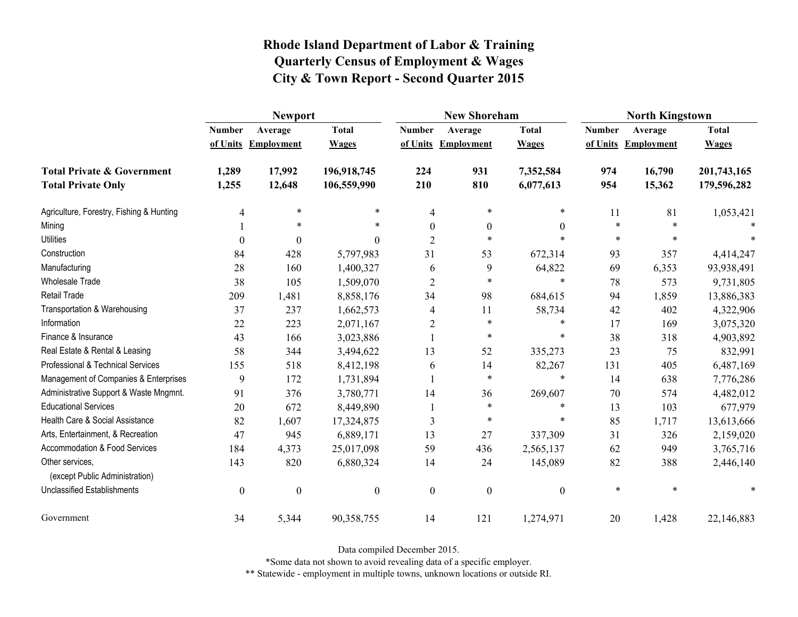|                                                   | <b>Newport</b>   |                     |                  |                  | <b>New Shoreham</b> |                  | <b>North Kingstown</b> |                     |              |
|---------------------------------------------------|------------------|---------------------|------------------|------------------|---------------------|------------------|------------------------|---------------------|--------------|
|                                                   | <b>Number</b>    | Average             | <b>Total</b>     | <b>Number</b>    | Average             | <b>Total</b>     | <b>Number</b>          | Average             | <b>Total</b> |
|                                                   |                  | of Units Employment | <b>Wages</b>     |                  | of Units Employment | <b>Wages</b>     |                        | of Units Employment | <b>Wages</b> |
| <b>Total Private &amp; Government</b>             | 1,289            | 17,992              | 196,918,745      | 224              | 931                 | 7,352,584        | 974                    | 16,790              | 201,743,165  |
| <b>Total Private Only</b>                         | 1,255            | 12,648              | 106,559,990      | 210              | 810                 | 6,077,613        | 954                    | 15,362              | 179,596,282  |
| Agriculture, Forestry, Fishing & Hunting          | 4                | $\ast$              | *                | $\overline{4}$   | $\ast$              | *                | 11                     | 81                  | 1,053,421    |
| Mining                                            |                  | *                   | *                | $\theta$         | $\boldsymbol{0}$    | $\theta$         | $\ast$                 | $\ast$              |              |
| <b>Utilities</b>                                  | $\boldsymbol{0}$ | $\Omega$            | 0                | $\overline{2}$   | $\ast$              |                  | $\ast$                 | $\ast$              |              |
| Construction                                      | 84               | 428                 | 5,797,983        | 31               | 53                  | 672,314          | 93                     | 357                 | 4,414,247    |
| Manufacturing                                     | 28               | 160                 | 1,400,327        | 6                | 9                   | 64,822           | 69                     | 6,353               | 93,938,491   |
| <b>Wholesale Trade</b>                            | 38               | 105                 | 1,509,070        | $\overline{2}$   | $\ast$              | $\ast$           | 78                     | 573                 | 9,731,805    |
| <b>Retail Trade</b>                               | 209              | 1,481               | 8,858,176        | 34               | 98                  | 684,615          | 94                     | 1,859               | 13,886,383   |
| Transportation & Warehousing                      | 37               | 237                 | 1,662,573        | 4                | 11                  | 58,734           | 42                     | 402                 | 4,322,906    |
| Information                                       | 22               | 223                 | 2,071,167        | $\overline{2}$   | $\ast$              | $\ast$           | 17                     | 169                 | 3,075,320    |
| Finance & Insurance                               | 43               | 166                 | 3,023,886        |                  | $\ast$              | $\ast$           | 38                     | 318                 | 4,903,892    |
| Real Estate & Rental & Leasing                    | 58               | 344                 | 3,494,622        | 13               | 52                  | 335,273          | 23                     | 75                  | 832,991      |
| Professional & Technical Services                 | 155              | 518                 | 8,412,198        | 6                | 14                  | 82,267           | 131                    | 405                 | 6,487,169    |
| Management of Companies & Enterprises             | 9                | 172                 | 1,731,894        |                  | $\ast$              | $\ast$           | 14                     | 638                 | 7,776,286    |
| Administrative Support & Waste Mngmnt.            | 91               | 376                 | 3,780,771        | 14               | 36                  | 269,607          | 70                     | 574                 | 4,482,012    |
| <b>Educational Services</b>                       | 20               | 672                 | 8,449,890        |                  | $\ast$              | *                | 13                     | 103                 | 677,979      |
| Health Care & Social Assistance                   | 82               | 1,607               | 17,324,875       | 3                | $\ast$              | *                | 85                     | 1,717               | 13,613,666   |
| Arts, Entertainment, & Recreation                 | 47               | 945                 | 6,889,171        | 13               | 27                  | 337,309          | 31                     | 326                 | 2,159,020    |
| Accommodation & Food Services                     | 184              | 4,373               | 25,017,098       | 59               | 436                 | 2,565,137        | 62                     | 949                 | 3,765,716    |
| Other services,<br>(except Public Administration) | 143              | 820                 | 6,880,324        | 14               | 24                  | 145,089          | 82                     | 388                 | 2,446,140    |
| Unclassified Establishments                       | $\boldsymbol{0}$ | $\boldsymbol{0}$    | $\boldsymbol{0}$ | $\boldsymbol{0}$ | $\boldsymbol{0}$    | $\boldsymbol{0}$ | $\ast$                 | $\ast$              |              |
| Government                                        | 34               | 5,344               | 90,358,755       | 14               | 121                 | 1,274,971        | 20                     | 1,428               | 22,146,883   |

Data compiled December 2015.

\*Some data not shown to avoid revealing data of a specific employer.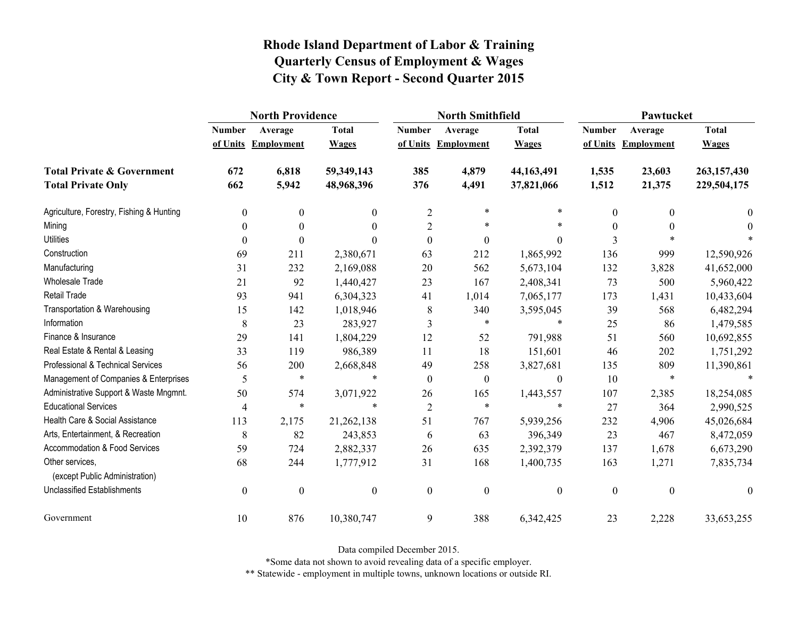|                                                   | <b>North Providence</b> |                  |                  |                  | <b>North Smithfield</b> |                  | Pawtucket        |                   |              |
|---------------------------------------------------|-------------------------|------------------|------------------|------------------|-------------------------|------------------|------------------|-------------------|--------------|
|                                                   | <b>Number</b>           | Average          | <b>Total</b>     | <b>Number</b>    | Average                 | <b>Total</b>     | <b>Number</b>    | Average           | <b>Total</b> |
|                                                   | of Units                | Employment       | <b>Wages</b>     | of Units         | <b>Employment</b>       | <b>Wages</b>     | of Units         | <b>Employment</b> | <b>Wages</b> |
| <b>Total Private &amp; Government</b>             | 672                     | 6,818            | 59,349,143       | 385              | 4,879                   | 44,163,491       | 1,535            | 23,603            | 263,157,430  |
| <b>Total Private Only</b>                         | 662                     | 5,942            | 48,968,396       | 376              | 4,491                   | 37,821,066       | 1,512            | 21,375            | 229,504,175  |
| Agriculture, Forestry, Fishing & Hunting          | $\boldsymbol{0}$        | $\theta$         | $\theta$         | $\overline{2}$   | $\ast$                  | *                | 0                | $\theta$          | $\theta$     |
| Mining                                            | $\theta$                | $\theta$         | $\theta$         | $\overline{2}$   | $\ast$                  | $\ast$           | 0                |                   | $\theta$     |
| <b>Utilities</b>                                  | $\theta$                | $\theta$         | $\Omega$         | $\boldsymbol{0}$ | $\boldsymbol{0}$        | $\overline{0}$   | 3                |                   |              |
| Construction                                      | 69                      | 211              | 2,380,671        | 63               | 212                     | 1,865,992        | 136              | 999               | 12,590,926   |
| Manufacturing                                     | 31                      | 232              | 2,169,088        | 20               | 562                     | 5,673,104        | 132              | 3,828             | 41,652,000   |
| Wholesale Trade                                   | 21                      | 92               | 1,440,427        | 23               | 167                     | 2,408,341        | 73               | 500               | 5,960,422    |
| <b>Retail Trade</b>                               | 93                      | 941              | 6,304,323        | 41               | 1,014                   | 7,065,177        | 173              | 1,431             | 10,433,604   |
| Transportation & Warehousing                      | 15                      | 142              | 1,018,946        | 8                | 340                     | 3,595,045        | 39               | 568               | 6,482,294    |
| Information                                       | 8                       | 23               | 283,927          | 3                | $\ast$                  | $\ast$           | 25               | 86                | 1,479,585    |
| Finance & Insurance                               | 29                      | 141              | 1,804,229        | 12               | 52                      | 791,988          | 51               | 560               | 10,692,855   |
| Real Estate & Rental & Leasing                    | 33                      | 119              | 986,389          | 11               | 18                      | 151,601          | 46               | 202               | 1,751,292    |
| Professional & Technical Services                 | 56                      | 200              | 2,668,848        | 49               | 258                     | 3,827,681        | 135              | 809               | 11,390,861   |
| Management of Companies & Enterprises             | 5                       | $\ast$           | $\ast$           | $\boldsymbol{0}$ | $\boldsymbol{0}$        | $\boldsymbol{0}$ | 10               | $\ast$            | $\ast$       |
| Administrative Support & Waste Mngmnt.            | 50                      | 574              | 3,071,922        | 26               | 165                     | 1,443,557        | 107              | 2,385             | 18,254,085   |
| <b>Educational Services</b>                       | $\overline{4}$          | $\ast$           | $\ast$           | $\sqrt{2}$       | $\ast$                  | $\ast$           | 27               | 364               | 2,990,525    |
| Health Care & Social Assistance                   | 113                     | 2,175            | 21,262,138       | 51               | 767                     | 5,939,256        | 232              | 4,906             | 45,026,684   |
| Arts, Entertainment, & Recreation                 | 8                       | 82               | 243,853          | 6                | 63                      | 396,349          | 23               | 467               | 8,472,059    |
| Accommodation & Food Services                     | 59                      | 724              | 2,882,337        | 26               | 635                     | 2,392,379        | 137              | 1,678             | 6,673,290    |
| Other services,<br>(except Public Administration) | 68                      | 244              | 1,777,912        | 31               | 168                     | 1,400,735        | 163              | 1,271             | 7,835,734    |
| <b>Unclassified Establishments</b>                | $\boldsymbol{0}$        | $\boldsymbol{0}$ | $\boldsymbol{0}$ | $\boldsymbol{0}$ | $\boldsymbol{0}$        | $\boldsymbol{0}$ | $\boldsymbol{0}$ | $\boldsymbol{0}$  | $\theta$     |
| Government                                        | 10                      | 876              | 10,380,747       | 9                | 388                     | 6,342,425        | 23               | 2,228             | 33,653,255   |

Data compiled December 2015.

\*Some data not shown to avoid revealing data of a specific employer.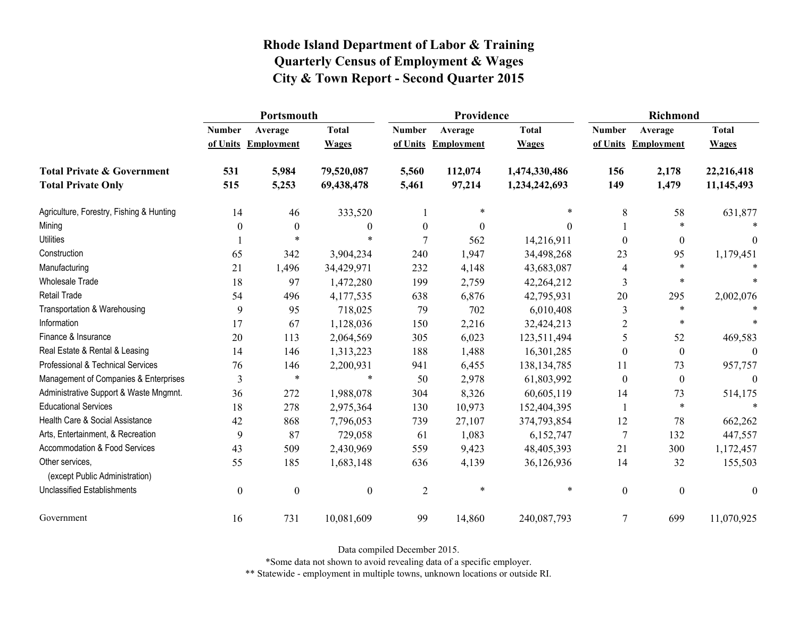|                                                   | Portsmouth       |                     |                  |                  | Providence          |               | <b>Richmond</b>          |                     |                  |
|---------------------------------------------------|------------------|---------------------|------------------|------------------|---------------------|---------------|--------------------------|---------------------|------------------|
|                                                   | <b>Number</b>    | Average             | <b>Total</b>     | <b>Number</b>    | Average             | <b>Total</b>  | <b>Number</b>            | Average             | <b>Total</b>     |
|                                                   |                  | of Units Employment | <b>Wages</b>     |                  | of Units Employment | <b>Wages</b>  |                          | of Units Employment | <b>Wages</b>     |
| <b>Total Private &amp; Government</b>             | 531              | 5,984               | 79,520,087       | 5,560            | 112,074             | 1,474,330,486 | 156                      | 2,178               | 22,216,418       |
| <b>Total Private Only</b>                         | 515              | 5,253               | 69,438,478       | 5,461            | 97,214              | 1,234,242,693 | 149                      | 1,479               | 11,145,493       |
| Agriculture, Forestry, Fishing & Hunting          | 14               | 46                  | 333,520          |                  | *                   | $\ast$        | 8                        | 58                  | 631,877          |
| Mining                                            | 0                | $\boldsymbol{0}$    | $\boldsymbol{0}$ | $\boldsymbol{0}$ | $\boldsymbol{0}$    | $\Omega$      |                          | $\ast$              |                  |
| <b>Utilities</b>                                  |                  | $\ast$              | *                | 7                | 562                 | 14,216,911    | $\theta$                 | $\boldsymbol{0}$    | $\Omega$         |
| Construction                                      | 65               | 342                 | 3,904,234        | 240              | 1,947               | 34,498,268    | 23                       | 95                  | 1,179,451        |
| Manufacturing                                     | 21               | 1,496               | 34,429,971       | 232              | 4,148               | 43,683,087    | $\overline{\mathcal{A}}$ | $\ast$              |                  |
| <b>Wholesale Trade</b>                            | 18               | 97                  | 1,472,280        | 199              | 2,759               | 42,264,212    | 3                        | $\ast$              |                  |
| <b>Retail Trade</b>                               | 54               | 496                 | 4,177,535        | 638              | 6,876               | 42,795,931    | 20                       | 295                 | 2,002,076        |
| Transportation & Warehousing                      | 9                | 95                  | 718,025          | 79               | 702                 | 6,010,408     | 3                        | $\ast$              |                  |
| Information                                       | 17               | 67                  | 1,128,036        | 150              | 2,216               | 32,424,213    | $\overline{2}$           | $\ast$              |                  |
| Finance & Insurance                               | 20               | 113                 | 2,064,569        | 305              | 6,023               | 123,511,494   | 5                        | 52                  | 469,583          |
| Real Estate & Rental & Leasing                    | 14               | 146                 | 1,313,223        | 188              | 1,488               | 16,301,285    | $\theta$                 | $\mathbf{0}$        |                  |
| Professional & Technical Services                 | 76               | 146                 | 2,200,931        | 941              | 6,455               | 138, 134, 785 | 11                       | 73                  | 957,757          |
| Management of Companies & Enterprises             | 3                | $\ast$              | $\ast$           | 50               | 2,978               | 61,803,992    | $\theta$                 | $\boldsymbol{0}$    | $\theta$         |
| Administrative Support & Waste Mngmnt.            | 36               | 272                 | 1,988,078        | 304              | 8,326               | 60,605,119    | 14                       | 73                  | 514,175          |
| <b>Educational Services</b>                       | 18               | 278                 | 2,975,364        | 130              | 10,973              | 152,404,395   |                          | $\ast$              | $\ast$           |
| Health Care & Social Assistance                   | 42               | 868                 | 7,796,053        | 739              | 27,107              | 374,793,854   | 12                       | 78                  | 662,262          |
| Arts, Entertainment, & Recreation                 | 9                | 87                  | 729,058          | 61               | 1,083               | 6,152,747     | $\overline{7}$           | 132                 | 447,557          |
| Accommodation & Food Services                     | 43               | 509                 | 2,430,969        | 559              | 9,423               | 48,405,393    | 21                       | 300                 | 1,172,457        |
| Other services,<br>(except Public Administration) | 55               | 185                 | 1,683,148        | 636              | 4,139               | 36,126,936    | 14                       | 32                  | 155,503          |
| <b>Unclassified Establishments</b>                | $\boldsymbol{0}$ | $\boldsymbol{0}$    | $\boldsymbol{0}$ | $\overline{2}$   | $\ast$              | $\ast$        | $\boldsymbol{0}$         | $\boldsymbol{0}$    | $\boldsymbol{0}$ |
| Government                                        | 16               | 731                 | 10,081,609       | 99               | 14,860              | 240,087,793   | $\overline{7}$           | 699                 | 11,070,925       |

Data compiled December 2015.

\*Some data not shown to avoid revealing data of a specific employer.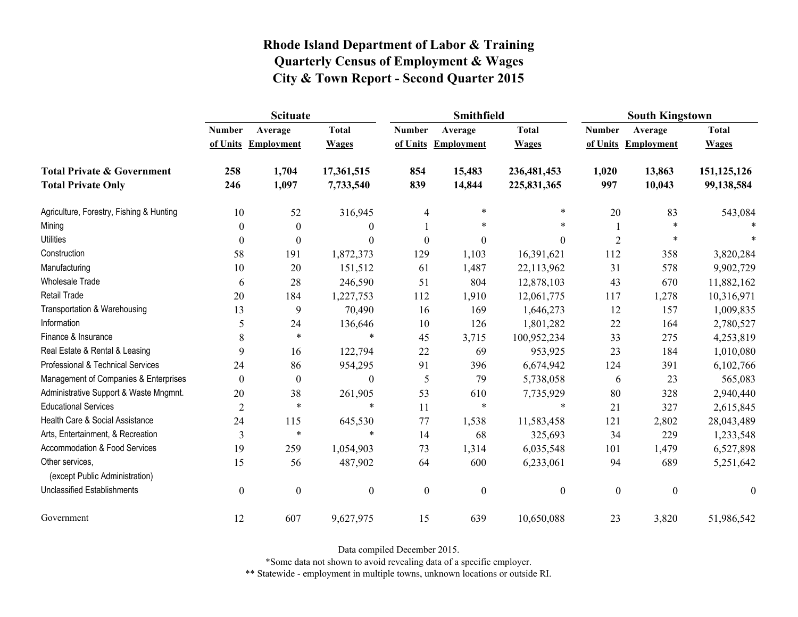|                                                   | <b>Scituate</b>  |                     |                  |                  | <b>Smithfield</b> |                  | <b>South Kingstown</b> |                     |                  |
|---------------------------------------------------|------------------|---------------------|------------------|------------------|-------------------|------------------|------------------------|---------------------|------------------|
|                                                   | <b>Number</b>    | Average             | <b>Total</b>     | <b>Number</b>    | Average           | <b>Total</b>     | <b>Number</b>          | Average             | <b>Total</b>     |
|                                                   |                  | of Units Employment | <b>Wages</b>     | of Units         | <b>Employment</b> | <b>Wages</b>     |                        | of Units Employment | <b>Wages</b>     |
| <b>Total Private &amp; Government</b>             | 258              | 1,704               | 17,361,515       | 854              | 15,483            | 236,481,453      | 1,020                  | 13,863              | 151,125,126      |
| <b>Total Private Only</b>                         | 246              | 1,097               | 7,733,540        | 839              | 14,844            | 225,831,365      | 997                    | 10,043              | 99,138,584       |
| Agriculture, Forestry, Fishing & Hunting          | 10               | 52                  | 316,945          | $\overline{4}$   | $\ast$            | $\ast$           | 20                     | 83                  | 543,084          |
| Mining                                            | 0                | $\boldsymbol{0}$    | $\overline{0}$   |                  | *                 | $\ast$           |                        | $\ast$              |                  |
| <b>Utilities</b>                                  | 0                | $\boldsymbol{0}$    | $\mathbf{0}$     | $\boldsymbol{0}$ | $\boldsymbol{0}$  | $\boldsymbol{0}$ | $\overline{2}$         | *                   |                  |
| Construction                                      | 58               | 191                 | 1,872,373        | 129              | 1,103             | 16,391,621       | 112                    | 358                 | 3,820,284        |
| Manufacturing                                     | 10               | 20                  | 151,512          | 61               | 1,487             | 22,113,962       | 31                     | 578                 | 9,902,729        |
| Wholesale Trade                                   | 6                | 28                  | 246,590          | 51               | 804               | 12,878,103       | 43                     | 670                 | 11,882,162       |
| <b>Retail Trade</b>                               | 20               | 184                 | 1,227,753        | 112              | 1,910             | 12,061,775       | 117                    | 1,278               | 10,316,971       |
| Transportation & Warehousing                      | 13               | 9                   | 70,490           | 16               | 169               | 1,646,273        | 12                     | 157                 | 1,009,835        |
| Information                                       | 5                | 24                  | 136,646          | 10               | 126               | 1,801,282        | 22                     | 164                 | 2,780,527        |
| Finance & Insurance                               | 8                | $\ast$              | $\ast$           | 45               | 3,715             | 100,952,234      | 33                     | 275                 | 4,253,819        |
| Real Estate & Rental & Leasing                    | 9                | 16                  | 122,794          | 22               | 69                | 953,925          | 23                     | 184                 | 1,010,080        |
| Professional & Technical Services                 | 24               | 86                  | 954,295          | 91               | 396               | 6,674,942        | 124                    | 391                 | 6,102,766        |
| Management of Companies & Enterprises             | $\theta$         | $\theta$            | $\boldsymbol{0}$ | 5                | 79                | 5,738,058        | 6                      | 23                  | 565,083          |
| Administrative Support & Waste Mngmnt.            | 20               | 38                  | 261,905          | 53               | 610               | 7,735,929        | 80                     | 328                 | 2,940,440        |
| <b>Educational Services</b>                       | $\overline{2}$   | $\ast$              | $\ast$           | 11               | $\ast$            | $\ast$           | 21                     | 327                 | 2,615,845        |
| Health Care & Social Assistance                   | 24               | 115                 | 645,530          | 77               | 1,538             | 11,583,458       | 121                    | 2,802               | 28,043,489       |
| Arts, Entertainment, & Recreation                 | 3                | $\ast$              | $\ast$           | 14               | 68                | 325,693          | 34                     | 229                 | 1,233,548        |
| <b>Accommodation &amp; Food Services</b>          | 19               | 259                 | 1,054,903        | 73               | 1,314             | 6,035,548        | 101                    | 1,479               | 6,527,898        |
| Other services,<br>(except Public Administration) | 15               | 56                  | 487,902          | 64               | 600               | 6,233,061        | 94                     | 689                 | 5,251,642        |
| <b>Unclassified Establishments</b>                | $\boldsymbol{0}$ | $\boldsymbol{0}$    | $\boldsymbol{0}$ | $\boldsymbol{0}$ | $\boldsymbol{0}$  | $\boldsymbol{0}$ | $\boldsymbol{0}$       | $\boldsymbol{0}$    | $\boldsymbol{0}$ |
| Government                                        | 12               | 607                 | 9,627,975        | 15               | 639               | 10,650,088       | 23                     | 3,820               | 51,986,542       |

Data compiled December 2015.

\*Some data not shown to avoid revealing data of a specific employer.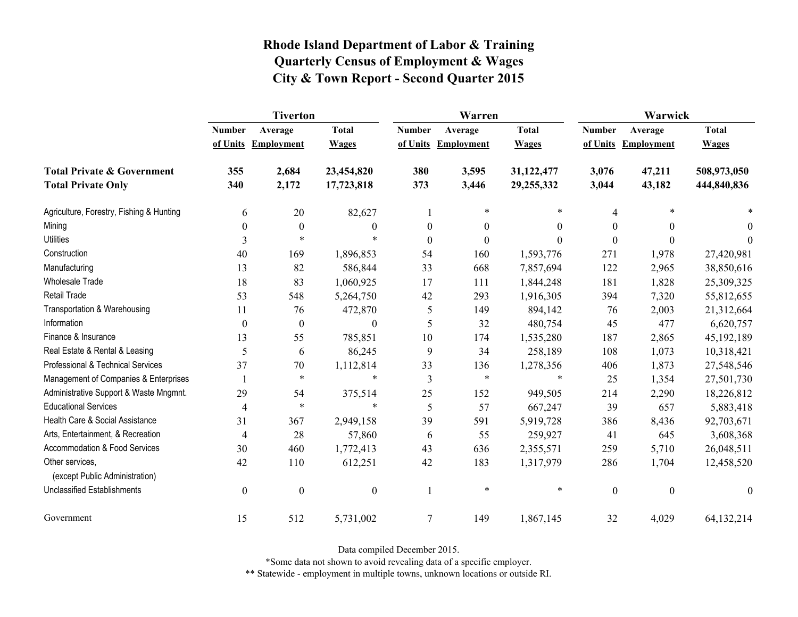|                                                   | <b>Tiverton</b>  |                   |                  |                  | Warren              |                  | Warwick          |                   |              |
|---------------------------------------------------|------------------|-------------------|------------------|------------------|---------------------|------------------|------------------|-------------------|--------------|
|                                                   | <b>Number</b>    | Average           | <b>Total</b>     | <b>Number</b>    | Average             | <b>Total</b>     | <b>Number</b>    | Average           | <b>Total</b> |
|                                                   | of Units         | <b>Employment</b> | <b>Wages</b>     |                  | of Units Employment | <b>Wages</b>     | of Units         | <b>Employment</b> | <b>Wages</b> |
| <b>Total Private &amp; Government</b>             | 355              | 2,684             | 23,454,820       | 380              | 3,595               | 31,122,477       | 3,076            | 47,211            | 508,973,050  |
| <b>Total Private Only</b>                         | 340              | 2,172             | 17,723,818       | 373              | 3,446               | 29,255,332       | 3,044            | 43,182            | 444,840,836  |
| Agriculture, Forestry, Fishing & Hunting          | 6                | 20                | 82,627           | 1                | $\ast$              | $\ast$           | 4                |                   |              |
| Mining                                            | $\boldsymbol{0}$ | $\boldsymbol{0}$  | $\theta$         | $\boldsymbol{0}$ | $\boldsymbol{0}$    | $\boldsymbol{0}$ | $\theta$         | $\theta$          | $\theta$     |
| <b>Utilities</b>                                  | 3                | $\ast$            | $\ast$           | $\boldsymbol{0}$ | $\boldsymbol{0}$    | $\theta$         | $\Omega$         | $\theta$          | $\theta$     |
| Construction                                      | 40               | 169               | 1,896,853        | 54               | 160                 | 1,593,776        | 271              | 1,978             | 27,420,981   |
| Manufacturing                                     | 13               | 82                | 586,844          | 33               | 668                 | 7,857,694        | 122              | 2,965             | 38,850,616   |
| <b>Wholesale Trade</b>                            | 18               | 83                | 1,060,925        | 17               | 111                 | 1,844,248        | 181              | 1,828             | 25,309,325   |
| <b>Retail Trade</b>                               | 53               | 548               | 5,264,750        | 42               | 293                 | 1,916,305        | 394              | 7,320             | 55,812,655   |
| Transportation & Warehousing                      | 11               | 76                | 472,870          | 5                | 149                 | 894,142          | 76               | 2,003             | 21,312,664   |
| Information                                       | $\boldsymbol{0}$ | $\boldsymbol{0}$  | $\theta$         | 5                | 32                  | 480,754          | 45               | 477               | 6,620,757    |
| Finance & Insurance                               | 13               | 55                | 785,851          | 10               | 174                 | 1,535,280        | 187              | 2,865             | 45,192,189   |
| Real Estate & Rental & Leasing                    | 5                | 6                 | 86,245           | 9                | 34                  | 258,189          | 108              | 1,073             | 10,318,421   |
| Professional & Technical Services                 | 37               | 70                | 1,112,814        | 33               | 136                 | 1,278,356        | 406              | 1,873             | 27,548,546   |
| Management of Companies & Enterprises             |                  | $\ast$            | $\ast$           | $\mathfrak{Z}$   | $\ast$              | $\ast$           | 25               | 1,354             | 27,501,730   |
| Administrative Support & Waste Mngmnt.            | 29               | 54                | 375,514          | 25               | 152                 | 949,505          | 214              | 2,290             | 18,226,812   |
| <b>Educational Services</b>                       | $\overline{4}$   | $\ast$            | $\ast$           | 5                | 57                  | 667,247          | 39               | 657               | 5,883,418    |
| Health Care & Social Assistance                   | 31               | 367               | 2,949,158        | 39               | 591                 | 5,919,728        | 386              | 8,436             | 92,703,671   |
| Arts, Entertainment, & Recreation                 | $\overline{4}$   | 28                | 57,860           | 6                | 55                  | 259,927          | 41               | 645               | 3,608,368    |
| <b>Accommodation &amp; Food Services</b>          | 30               | 460               | 1,772,413        | 43               | 636                 | 2,355,571        | 259              | 5,710             | 26,048,511   |
| Other services,<br>(except Public Administration) | 42               | 110               | 612,251          | 42               | 183                 | 1,317,979        | 286              | 1,704             | 12,458,520   |
| <b>Unclassified Establishments</b>                | $\boldsymbol{0}$ | $\boldsymbol{0}$  | $\boldsymbol{0}$ | 1                | $\ast$              | $\ast$           | $\boldsymbol{0}$ | $\boldsymbol{0}$  | $\theta$     |
| Government                                        | 15               | 512               | 5,731,002        | $\tau$           | 149                 | 1,867,145        | 32               | 4,029             | 64,132,214   |

Data compiled December 2015.

\*Some data not shown to avoid revealing data of a specific employer.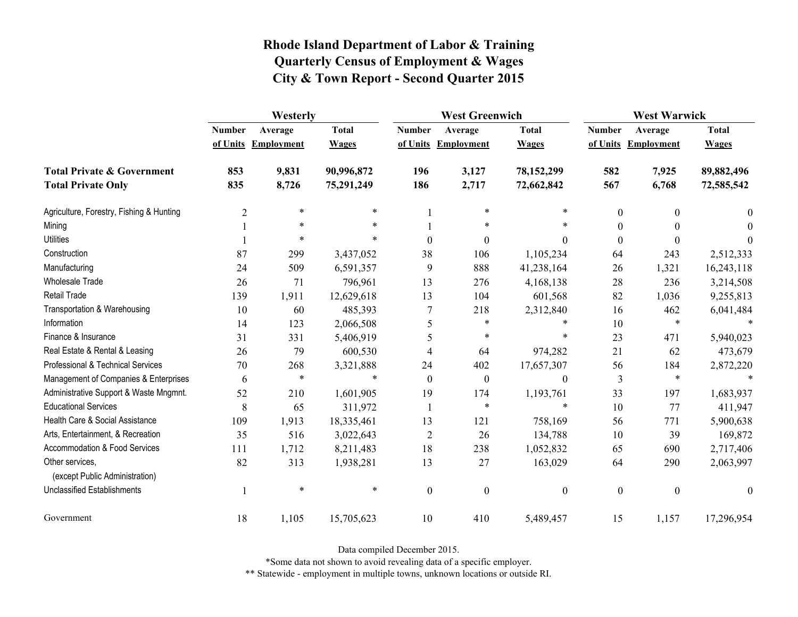|                                                   | Westerly       |                     |              |                  | <b>West Greenwich</b> |                  |                  | <b>West Warwick</b> |              |  |
|---------------------------------------------------|----------------|---------------------|--------------|------------------|-----------------------|------------------|------------------|---------------------|--------------|--|
|                                                   | <b>Number</b>  | Average             | <b>Total</b> | <b>Number</b>    | Average               | <b>Total</b>     | <b>Number</b>    | Average             | <b>Total</b> |  |
|                                                   |                | of Units Employment | <b>Wages</b> |                  | of Units Employment   | <b>Wages</b>     |                  | of Units Employment | <b>Wages</b> |  |
| <b>Total Private &amp; Government</b>             | 853            | 9,831               | 90,996,872   | 196              | 3,127                 | 78,152,299       | 582              | 7,925               | 89,882,496   |  |
| <b>Total Private Only</b>                         | 835            | 8,726               | 75,291,249   | 186              | 2,717                 | 72,662,842       | 567              | 6,768               | 72,585,542   |  |
| Agriculture, Forestry, Fishing & Hunting          | $\overline{c}$ | $\ast$              | $\ast$       |                  | $\ast$                | $\ast$           | $\boldsymbol{0}$ | $\theta$            | $\theta$     |  |
| Mining                                            |                | $\ast$              | $\ast$       |                  | $\ast$                | *                | $\theta$         |                     | $\Omega$     |  |
| <b>Utilities</b>                                  |                | $\ast$              | $\ast$       | $\boldsymbol{0}$ | $\boldsymbol{0}$      | $\Omega$         | $\boldsymbol{0}$ | $\Omega$            | $\Omega$     |  |
| Construction                                      | 87             | 299                 | 3,437,052    | 38               | 106                   | 1,105,234        | 64               | 243                 | 2,512,333    |  |
| Manufacturing                                     | 24             | 509                 | 6,591,357    | 9                | 888                   | 41,238,164       | 26               | 1,321               | 16,243,118   |  |
| Wholesale Trade                                   | 26             | 71                  | 796,961      | 13               | 276                   | 4,168,138        | 28               | 236                 | 3,214,508    |  |
| <b>Retail Trade</b>                               | 139            | 1,911               | 12,629,618   | 13               | 104                   | 601,568          | 82               | 1,036               | 9,255,813    |  |
| Transportation & Warehousing                      | 10             | 60                  | 485,393      | 7                | 218                   | 2,312,840        | 16               | 462                 | 6,041,484    |  |
| Information                                       | 14             | 123                 | 2,066,508    | 5                | $\ast$                | $\ast$           | 10               | $\ast$              |              |  |
| Finance & Insurance                               | 31             | 331                 | 5,406,919    | 5                | $\ast$                | $\ast$           | 23               | 471                 | 5,940,023    |  |
| Real Estate & Rental & Leasing                    | 26             | 79                  | 600,530      | 4                | 64                    | 974,282          | 21               | 62                  | 473,679      |  |
| Professional & Technical Services                 | 70             | 268                 | 3,321,888    | 24               | 402                   | 17,657,307       | 56               | 184                 | 2,872,220    |  |
| Management of Companies & Enterprises             | 6              | $\ast$              | $\ast$       | $\mathbf{0}$     | $\boldsymbol{0}$      | $\theta$         | 3                | $\ast$              |              |  |
| Administrative Support & Waste Mngmnt.            | 52             | 210                 | 1,601,905    | 19               | 174                   | 1,193,761        | 33               | 197                 | 1,683,937    |  |
| <b>Educational Services</b>                       | 8              | 65                  | 311,972      | 1                | $\ast$                | $\ast$           | 10               | 77                  | 411,947      |  |
| Health Care & Social Assistance                   | 109            | 1,913               | 18,335,461   | 13               | 121                   | 758,169          | 56               | 771                 | 5,900,638    |  |
| Arts, Entertainment, & Recreation                 | 35             | 516                 | 3,022,643    | $\overline{2}$   | 26                    | 134,788          | 10               | 39                  | 169,872      |  |
| <b>Accommodation &amp; Food Services</b>          | 111            | 1,712               | 8,211,483    | 18               | 238                   | 1,052,832        | 65               | 690                 | 2,717,406    |  |
| Other services,<br>(except Public Administration) | 82             | 313                 | 1,938,281    | 13               | 27                    | 163,029          | 64               | 290                 | 2,063,997    |  |
| <b>Unclassified Establishments</b>                |                | $\ast$              | $\ast$       | $\boldsymbol{0}$ | $\boldsymbol{0}$      | $\boldsymbol{0}$ | $\boldsymbol{0}$ | $\boldsymbol{0}$    | $\theta$     |  |
| Government                                        | 18             | 1,105               | 15,705,623   | 10               | 410                   | 5,489,457        | 15               | 1,157               | 17,296,954   |  |

Data compiled December 2015.

\*Some data not shown to avoid revealing data of a specific employer.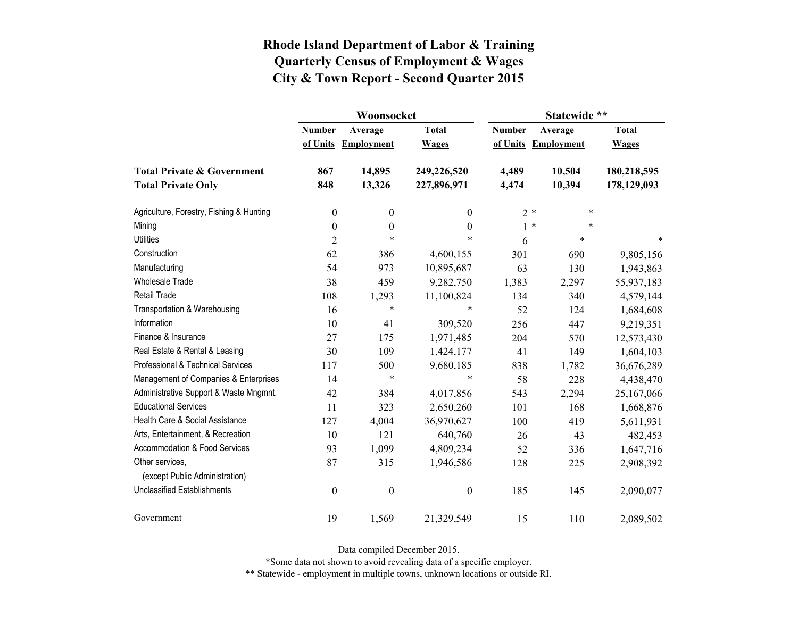|                                                   |                  | Woonsocket        |                  | Statewide **  |                     |              |  |
|---------------------------------------------------|------------------|-------------------|------------------|---------------|---------------------|--------------|--|
|                                                   | <b>Number</b>    | Average           | <b>Total</b>     | <b>Number</b> | Average             | <b>Total</b> |  |
|                                                   | of Units         | <b>Employment</b> | <b>Wages</b>     |               | of Units Employment | <b>Wages</b> |  |
| <b>Total Private &amp; Government</b>             | 867              | 14,895            | 249,226,520      | 4,489         | 10,504              | 180,218,595  |  |
| <b>Total Private Only</b>                         | 848              | 13,326            | 227,896,971      | 4,474         | 10,394              | 178,129,093  |  |
| Agriculture, Forestry, Fishing & Hunting          | $\boldsymbol{0}$ | $\boldsymbol{0}$  | $\boldsymbol{0}$ | $2*$          | $\ast$              |              |  |
| Mining                                            | $\boldsymbol{0}$ | $\boldsymbol{0}$  | $\boldsymbol{0}$ | $1 *$         | *                   |              |  |
| <b>Utilities</b>                                  | $\overline{2}$   | $\ast$            | *                | 6             | $\ast$              | $\ast$       |  |
| Construction                                      | 62               | 386               | 4,600,155        | 301           | 690                 | 9,805,156    |  |
| Manufacturing                                     | 54               | 973               | 10,895,687       | 63            | 130                 | 1,943,863    |  |
| <b>Wholesale Trade</b>                            | 38               | 459               | 9,282,750        | 1,383         | 2,297               | 55,937,183   |  |
| Retail Trade                                      | 108              | 1,293             | 11,100,824       | 134           | 340                 | 4,579,144    |  |
| Transportation & Warehousing                      | 16               | $\ast$            | $\ast$           | 52            | 124                 | 1,684,608    |  |
| Information                                       | 10               | 41                | 309,520          | 256           | 447                 | 9,219,351    |  |
| Finance & Insurance                               | 27               | 175               | 1,971,485        | 204           | 570                 | 12,573,430   |  |
| Real Estate & Rental & Leasing                    | 30               | 109               | 1,424,177        | 41            | 149                 | 1,604,103    |  |
| Professional & Technical Services                 | 117              | 500               | 9,680,185        | 838           | 1,782               | 36,676,289   |  |
| Management of Companies & Enterprises             | 14               | $\ast$            | $\ast$           | 58            | 228                 | 4,438,470    |  |
| Administrative Support & Waste Mngmnt.            | 42               | 384               | 4,017,856        | 543           | 2,294               | 25,167,066   |  |
| <b>Educational Services</b>                       | 11               | 323               | 2,650,260        | 101           | 168                 | 1,668,876    |  |
| Health Care & Social Assistance                   | 127              | 4,004             | 36,970,627       | 100           | 419                 | 5,611,931    |  |
| Arts, Entertainment, & Recreation                 | 10               | 121               | 640,760          | 26            | 43                  | 482,453      |  |
| Accommodation & Food Services                     | 93               | 1,099             | 4,809,234        | 52            | 336                 | 1,647,716    |  |
| Other services,<br>(except Public Administration) | 87               | 315               | 1,946,586        | 128           | 225                 | 2,908,392    |  |
| <b>Unclassified Establishments</b>                | $\boldsymbol{0}$ | $\boldsymbol{0}$  | $\boldsymbol{0}$ | 185           | 145                 | 2,090,077    |  |
| Government                                        | 19               | 1,569             | 21,329,549       | 15            | 110                 | 2,089,502    |  |

Data compiled December 2015.

\*Some data not shown to avoid revealing data of a specific employer.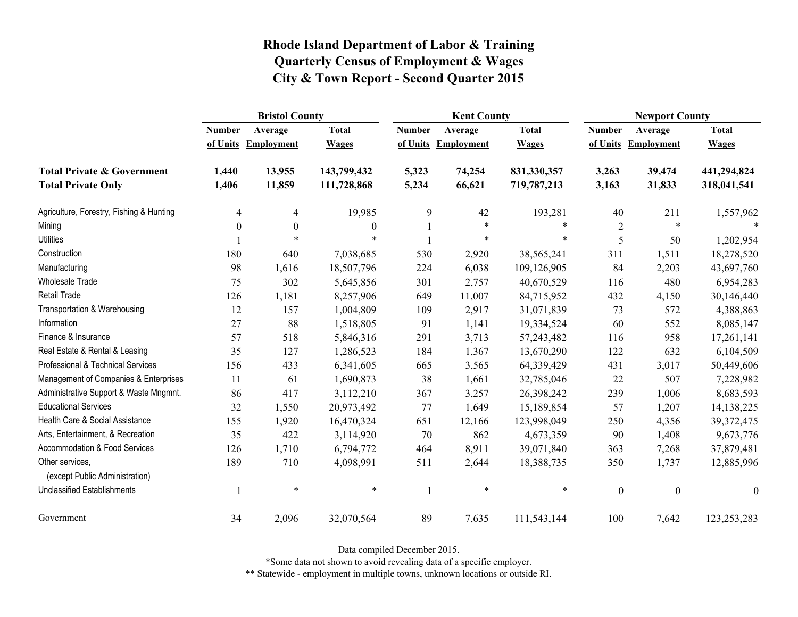|                                                   | <b>Bristol County</b> |                   |              |               | <b>Kent County</b> |              |                  | <b>Newport County</b> |                  |  |
|---------------------------------------------------|-----------------------|-------------------|--------------|---------------|--------------------|--------------|------------------|-----------------------|------------------|--|
|                                                   | <b>Number</b>         | Average           | <b>Total</b> | <b>Number</b> | Average            | <b>Total</b> | <b>Number</b>    | Average               | <b>Total</b>     |  |
|                                                   | of Units              | <b>Employment</b> | <b>Wages</b> | of Units      | Employment         | <b>Wages</b> | of Units         | <b>Employment</b>     | <b>Wages</b>     |  |
| <b>Total Private &amp; Government</b>             | 1,440                 | 13,955            | 143,799,432  | 5,323         | 74,254             | 831,330,357  | 3,263            | 39,474                | 441,294,824      |  |
| <b>Total Private Only</b>                         | 1,406                 | 11,859            | 111,728,868  | 5,234         | 66,621             | 719,787,213  | 3,163            | 31,833                | 318,041,541      |  |
| Agriculture, Forestry, Fishing & Hunting          | 4                     | $\overline{4}$    | 19,985       | 9             | 42                 | 193,281      | 40               | 211                   | 1,557,962        |  |
| Mining                                            | $\theta$              | $\boldsymbol{0}$  | $\mathbf{0}$ |               | $\ast$             | $\ast$       | $\overline{2}$   | $\ast$                |                  |  |
| <b>Utilities</b>                                  |                       | $\ast$            | $\ast$       |               | $\ast$             | $\ast$       | 5                | 50                    | 1,202,954        |  |
| Construction                                      | 180                   | 640               | 7,038,685    | 530           | 2,920              | 38,565,241   | 311              | 1,511                 | 18,278,520       |  |
| Manufacturing                                     | 98                    | 1,616             | 18,507,796   | 224           | 6,038              | 109,126,905  | 84               | 2,203                 | 43,697,760       |  |
| Wholesale Trade                                   | 75                    | 302               | 5,645,856    | 301           | 2,757              | 40,670,529   | 116              | 480                   | 6,954,283        |  |
| <b>Retail Trade</b>                               | 126                   | 1,181             | 8,257,906    | 649           | 11,007             | 84,715,952   | 432              | 4,150                 | 30,146,440       |  |
| Transportation & Warehousing                      | 12                    | 157               | 1,004,809    | 109           | 2,917              | 31,071,839   | 73               | 572                   | 4,388,863        |  |
| Information                                       | 27                    | 88                | 1,518,805    | 91            | 1,141              | 19,334,524   | 60               | 552                   | 8,085,147        |  |
| Finance & Insurance                               | 57                    | 518               | 5,846,316    | 291           | 3,713              | 57,243,482   | 116              | 958                   | 17,261,141       |  |
| Real Estate & Rental & Leasing                    | 35                    | 127               | 1,286,523    | 184           | 1,367              | 13,670,290   | 122              | 632                   | 6,104,509        |  |
| Professional & Technical Services                 | 156                   | 433               | 6,341,605    | 665           | 3,565              | 64,339,429   | 431              | 3,017                 | 50,449,606       |  |
| Management of Companies & Enterprises             | 11                    | 61                | 1,690,873    | 38            | 1,661              | 32,785,046   | 22               | 507                   | 7,228,982        |  |
| Administrative Support & Waste Mngmnt.            | 86                    | 417               | 3,112,210    | 367           | 3,257              | 26,398,242   | 239              | 1,006                 | 8,683,593        |  |
| <b>Educational Services</b>                       | 32                    | 1,550             | 20,973,492   | 77            | 1,649              | 15,189,854   | 57               | 1,207                 | 14, 138, 225     |  |
| Health Care & Social Assistance                   | 155                   | 1,920             | 16,470,324   | 651           | 12,166             | 123,998,049  | 250              | 4,356                 | 39, 372, 475     |  |
| Arts, Entertainment, & Recreation                 | 35                    | 422               | 3,114,920    | 70            | 862                | 4,673,359    | 90               | 1,408                 | 9,673,776        |  |
| Accommodation & Food Services                     | 126                   | 1,710             | 6,794,772    | 464           | 8,911              | 39,071,840   | 363              | 7,268                 | 37,879,481       |  |
| Other services,<br>(except Public Administration) | 189                   | 710               | 4,098,991    | 511           | 2,644              | 18,388,735   | 350              | 1,737                 | 12,885,996       |  |
| Unclassified Establishments                       |                       | $\ast$            | $\ast$       |               | $\ast$             | $\ast$       | $\boldsymbol{0}$ | $\boldsymbol{0}$      | $\boldsymbol{0}$ |  |
| Government                                        | 34                    | 2,096             | 32,070,564   | 89            | 7,635              | 111,543,144  | 100              | 7,642                 | 123,253,283      |  |

Data compiled December 2015.

\*Some data not shown to avoid revealing data of a specific employer.